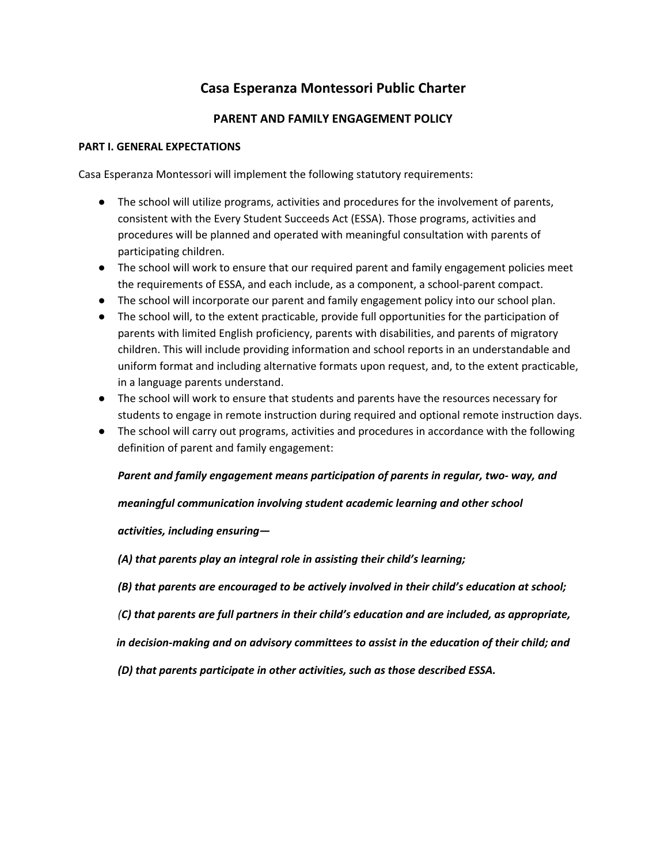# **Casa Esperanza Montessori Public Charter**

## **PARENT AND FAMILY ENGAGEMENT POLICY**

#### **PART I. GENERAL EXPECTATIONS**

Casa Esperanza Montessori will implement the following statutory requirements:

- The school will utilize programs, activities and procedures for the involvement of parents, consistent with the Every Student Succeeds Act (ESSA). Those programs, activities and procedures will be planned and operated with meaningful consultation with parents of participating children.
- The school will work to ensure that our required parent and family engagement policies meet the requirements of ESSA, and each include, as a component, a school-parent compact.
- The school will incorporate our parent and family engagement policy into our school plan.
- The school will, to the extent practicable, provide full opportunities for the participation of parents with limited English proficiency, parents with disabilities, and parents of migratory children. This will include providing information and school reports in an understandable and uniform format and including alternative formats upon request, and, to the extent practicable, in a language parents understand.
- The school will work to ensure that students and parents have the resources necessary for students to engage in remote instruction during required and optional remote instruction days.
- The school will carry out programs, activities and procedures in accordance with the following definition of parent and family engagement:

#### *Parent and family engagement means participation of parents in regular, two- way, and*

*meaningful communication involving student academic learning and other school*

### *activities, including ensuring—*

*(A) that parents play an integral role in assisting their child's learning;*

- *(B) that parents are encouraged to be actively involved in their child's education at school;*
- *(C) that parents are full partners in their child's education and are included, as appropriate,*

*in decision-making and on advisory committees to assist in the education of their child; and*

*(D) that parents participate in other activities, such as those described ESSA.*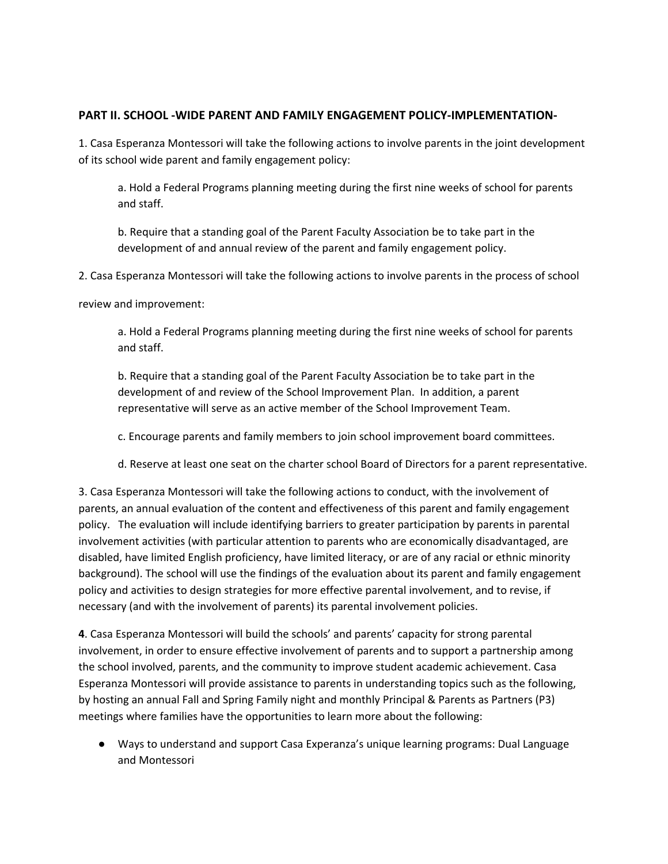#### **PART II. SCHOOL -WIDE PARENT AND FAMILY ENGAGEMENT POLICY-IMPLEMENTATION-**

1. Casa Esperanza Montessori will take the following actions to involve parents in the joint development of its school wide parent and family engagement policy:

a. Hold a Federal Programs planning meeting during the first nine weeks of school for parents and staff.

b. Require that a standing goal of the Parent Faculty Association be to take part in the development of and annual review of the parent and family engagement policy.

2. Casa Esperanza Montessori will take the following actions to involve parents in the process of school

review and improvement:

a. Hold a Federal Programs planning meeting during the first nine weeks of school for parents and staff.

b. Require that a standing goal of the Parent Faculty Association be to take part in the development of and review of the School Improvement Plan. In addition, a parent representative will serve as an active member of the School Improvement Team.

c. Encourage parents and family members to join school improvement board committees.

d. Reserve at least one seat on the charter school Board of Directors for a parent representative.

3. Casa Esperanza Montessori will take the following actions to conduct, with the involvement of parents, an annual evaluation of the content and effectiveness of this parent and family engagement policy. The evaluation will include identifying barriers to greater participation by parents in parental involvement activities (with particular attention to parents who are economically disadvantaged, are disabled, have limited English proficiency, have limited literacy, or are of any racial or ethnic minority background). The school will use the findings of the evaluation about its parent and family engagement policy and activities to design strategies for more effective parental involvement, and to revise, if necessary (and with the involvement of parents) its parental involvement policies.

**4**. Casa Esperanza Montessori will build the schools' and parents' capacity for strong parental involvement, in order to ensure effective involvement of parents and to support a partnership among the school involved, parents, and the community to improve student academic achievement. Casa Esperanza Montessori will provide assistance to parents in understanding topics such as the following, by hosting an annual Fall and Spring Family night and monthly Principal & Parents as Partners (P3) meetings where families have the opportunities to learn more about the following:

● Ways to understand and support Casa Experanza's unique learning programs: Dual Language and Montessori